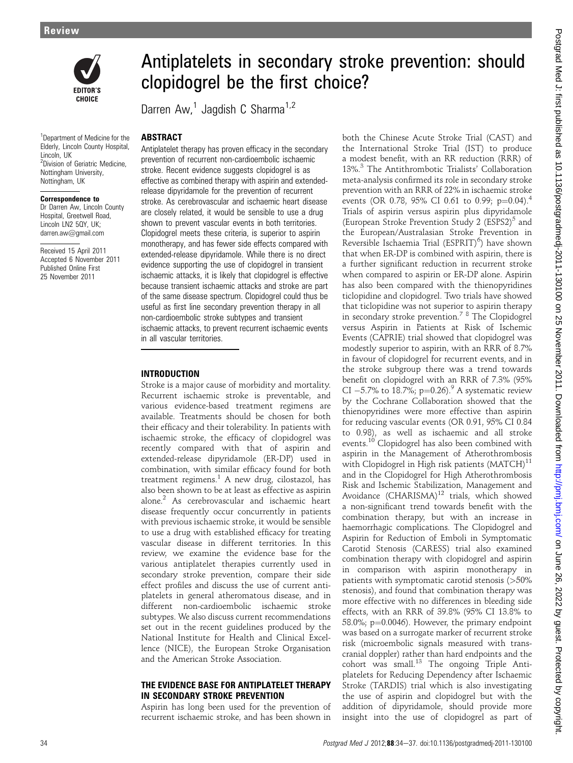

<sup>1</sup>Department of Medicine for the Elderly, Lincoln County Hospital, Lincoln, UK <sup>2</sup>Division of Geriatric Medicine, Nottingham University, Nottingham, UK

#### Correspondence to

Dr Darren Aw, Lincoln County Hospital, Greetwell Road, Lincoln LN2 50Y, UK; darren.aw@gmail.com

Received 15 April 2011 Accepted 6 November 2011 Published Online First 25 November 2011

# Antiplatelets in secondary stroke prevention: should clopidogrel be the first choice?

Darren Aw, $<sup>1</sup>$  Jagdish C Sharma<sup>1,2</sup></sup>

#### ABSTRACT

Antiplatelet therapy has proven efficacy in the secondary prevention of recurrent non-cardioembolic ischaemic stroke. Recent evidence suggests clopidogrel is as effective as combined therapy with aspirin and extendedrelease dipyridamole for the prevention of recurrent stroke. As cerebrovascular and ischaemic heart disease are closely related, it would be sensible to use a drug shown to prevent vascular events in both territories. Clopidogrel meets these criteria, is superior to aspirin monotherapy, and has fewer side effects compared with extended-release dipyridamole. While there is no direct evidence supporting the use of clopidogrel in transient ischaemic attacks, it is likely that clopidogrel is effective because transient ischaemic attacks and stroke are part of the same disease spectrum. Clopidogrel could thus be useful as first line secondary prevention therapy in all non-cardioembolic stroke subtypes and transient ischaemic attacks, to prevent recurrent ischaemic events in all vascular territories.

#### INTRODUCTION

Stroke is a major cause of morbidity and mortality. Recurrent ischaemic stroke is preventable, and various evidence-based treatment regimens are available. Treatments should be chosen for both their efficacy and their tolerability. In patients with ischaemic stroke, the efficacy of clopidogrel was recently compared with that of aspirin and extended-release dipyridamole (ER-DP) used in combination, with similar efficacy found for both treatment regimens.<sup>1</sup> A new drug, cilostazol, has also been shown to be at least as effective as aspirin alone.2 As cerebrovascular and ischaemic heart disease frequently occur concurrently in patients with previous ischaemic stroke, it would be sensible to use a drug with established efficacy for treating vascular disease in different territories. In this review, we examine the evidence base for the various antiplatelet therapies currently used in secondary stroke prevention, compare their side effect profiles and discuss the use of current antiplatelets in general atheromatous disease, and in different non-cardioembolic ischaemic stroke subtypes. We also discuss current recommendations set out in the recent guidelines produced by the National Institute for Health and Clinical Excellence (NICE), the European Stroke Organisation and the American Stroke Association.

#### THE EVIDENCE BASE FOR ANTIPLATELET THERAPY IN SECONDARY STROKE PREVENTION

Aspirin has long been used for the prevention of recurrent ischaemic stroke, and has been shown in

both the Chinese Acute Stroke Trial (CAST) and the International Stroke Trial (IST) to produce a modest benefit, with an RR reduction (RRR) of 13%.<sup>3</sup> The Antithrombotic Trialists' Collaboration meta-analysis confirmed its role in secondary stroke prevention with an RRR of 22% in ischaemic stroke events (OR 0.78, 95% CI 0.61 to 0.99;  $p=0.04$ ).<sup>4</sup> Trials of aspirin versus aspirin plus dipyridamole (European Stroke Prevention Study 2  $(ESPS2)^5$  and the European/Australasian Stroke Prevention in Reversible Ischaemia Trial (ESPRIT)<sup>6</sup>) have shown that when ER-DP is combined with aspirin, there is a further significant reduction in recurrent stroke when compared to aspirin or ER-DP alone. Aspirin has also been compared with the thienopyridines ticlopidine and clopidogrel. Two trials have showed that ticlopidine was not superior to aspirin therapy in secondary stroke prevention.7 8 The Clopidogrel versus Aspirin in Patients at Risk of Ischemic Events (CAPRIE) trial showed that clopidogrel was modestly superior to aspirin, with an RRR of 8.7% in favour of clopidogrel for recurrent events, and in the stroke subgroup there was a trend towards benefit on clopidogrel with an RRR of 7.3% (95% CI  $-5.7\%$  to 18.7%; p=0.26).<sup>9</sup> A systematic review by the Cochrane Collaboration showed that the thienopyridines were more effective than aspirin for reducing vascular events (OR 0.91, 95% CI 0.84 to 0.98), as well as ischaemic and all stroke events.<sup>10</sup> Clopidogrel has also been combined with aspirin in the Management of Atherothrombosis with Clopidogrel in High risk patients  $(MATCH)^{11}$ and in the Clopidogrel for High Atherothrombosis Risk and Ischemic Stabilization, Management and Avoidance (CHARISMA)<sup>12</sup> trials, which showed a non-significant trend towards benefit with the combination therapy, but with an increase in haemorrhagic complications. The Clopidogrel and Aspirin for Reduction of Emboli in Symptomatic Carotid Stenosis (CARESS) trial also examined combination therapy with clopidogrel and aspirin in comparison with aspirin monotherapy in patients with symptomatic carotid stenosis (>50% stenosis), and found that combination therapy was more effective with no differences in bleeding side effects, with an RRR of 39.8% (95% CI 13.8% to 58.0%;  $p=0.0046$ ). However, the primary endpoint was based on a surrogate marker of recurrent stroke risk (microembolic signals measured with transcranial doppler) rather than hard endpoints and the cohort was small. $^{13}$  The ongoing Triple Antiplatelets for Reducing Dependency after Ischaemic Stroke (TARDIS) trial which is also investigating the use of aspirin and clopidogrel but with the addition of dipyridamole, should provide more insight into the use of clopidogrel as part of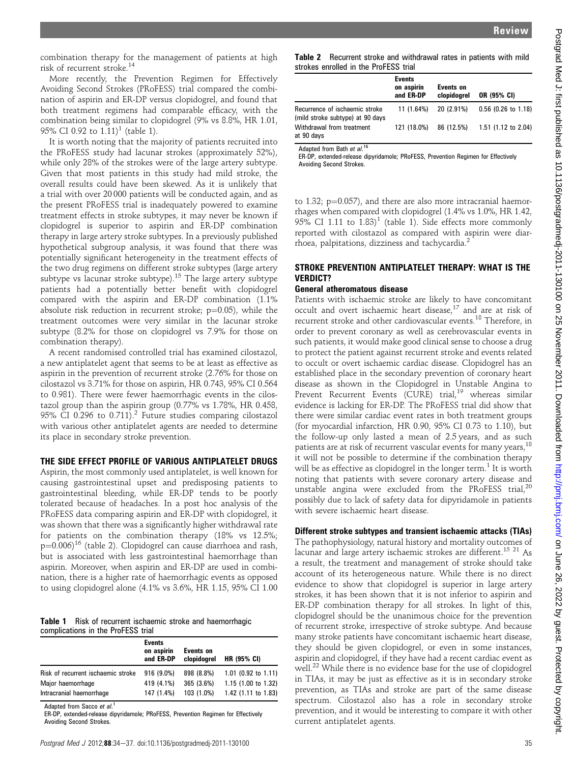combination therapy for the management of patients at high risk of recurrent stroke.<sup>14</sup>

More recently, the Prevention Regimen for Effectively Avoiding Second Strokes (PRoFESS) trial compared the combination of aspirin and ER-DP versus clopidogrel, and found that both treatment regimens had comparable efficacy, with the combination being similar to clopidogrel (9% vs 8.8%, HR 1.01, 95% CI 0.92 to  $1.11$ <sup>1</sup> (table 1).

It is worth noting that the majority of patients recruited into the PRoFESS study had lacunar strokes (approximately 52%), while only 28% of the strokes were of the large artery subtype. Given that most patients in this study had mild stroke, the overall results could have been skewed. As it is unlikely that a trial with over 20 000 patients will be conducted again, and as the present PRoFESS trial is inadequately powered to examine treatment effects in stroke subtypes, it may never be known if clopidogrel is superior to aspirin and ER-DP combination therapy in large artery stroke subtypes. In a previously published hypothetical subgroup analysis, it was found that there was potentially significant heterogeneity in the treatment effects of the two drug regimens on different stroke subtypes (large artery subtype vs lacunar stroke subtype).<sup>15</sup> The large artery subtype patients had a potentially better benefit with clopidogrel compared with the aspirin and ER-DP combination (1.1% absolute risk reduction in recurrent stroke;  $p=0.05$ ), while the treatment outcomes were very similar in the lacunar stroke subtype (8.2% for those on clopidogrel vs 7.9% for those on combination therapy).

A recent randomised controlled trial has examined cilostazol, a new antiplatelet agent that seems to be at least as effective as aspirin in the prevention of recurrent stroke (2.76% for those on cilostazol vs 3.71% for those on aspirin, HR 0.743, 95% CI 0.564 to 0.981). There were fewer haemorrhagic events in the cilostazol group than the aspirin group (0.77% vs 1.78%, HR 0.458, 95% CI 0.296 to 0.711).<sup>2</sup> Future studies comparing cilostazol with various other antiplatelet agents are needed to determine its place in secondary stroke prevention.

### THE SIDE EFFECT PROFILE OF VARIOUS ANTIPLATELET DRUGS

Aspirin, the most commonly used antiplatelet, is well known for causing gastrointestinal upset and predisposing patients to gastrointestinal bleeding, while ER-DP tends to be poorly tolerated because of headaches. In a post hoc analysis of the PRoFESS data comparing aspirin and ER-DP with clopidogrel, it was shown that there was a significantly higher withdrawal rate for patients on the combination therapy (18% vs 12.5%;  $p=0.006$ <sup>16</sup> (table 2). Clopidogrel can cause diarrhoea and rash, but is associated with less gastrointestinal haemorrhage than aspirin. Moreover, when aspirin and ER-DP are used in combination, there is a higher rate of haemorrhagic events as opposed to using clopidogrel alone (4.1% vs 3.6%, HR 1.15, 95% CI 1.00

#### Table 1 Risk of recurrent ischaemic stroke and haemorrhagic complications in the ProFESS trial

|                                    | <b>Events</b><br>on aspirin<br>and ER-DP | Events on<br>clopidogrel | HR (95% CI)         |
|------------------------------------|------------------------------------------|--------------------------|---------------------|
| Risk of recurrent ischaemic stroke | 916 (9.0%)                               | 898 (8.8%)               | 1.01 (0.92 to 1.11) |
| Major haemorrhage                  | 419 (4.1%)                               | 365 (3.6%)               | 1.15 (1.00 to 1.32) |
| Intracranial haemorrhage           | 147 (1.4%)                               | 103 (1.0%)               | 1.42 (1.11 to 1.83) |

Adapted from Sacco et al.<sup>1</sup>

ER-DP, extended-release dipyridamole; PRoFESS, Prevention Regimen for Effectively Avoiding Second Strokes.

Table 2 Recurrent stroke and withdrawal rates in patients with mild strokes enrolled in the ProFESS trial

|                                                                    | <b>Events</b><br>on aspirin<br>and ER-DP | Events on<br>clopidogrel | OR (95% CI)         |
|--------------------------------------------------------------------|------------------------------------------|--------------------------|---------------------|
| Recurrence of ischaemic stroke<br>(mild stroke subtype) at 90 days | 11(1.64%)                                | 20 (2.91%)               | 0.56 (0.26 to 1.18) |
| Withdrawal from treatment<br>at 90 days                            | 121 (18.0%)                              | 86 (12.5%)               | 1.51 (1.12 to 2.04) |

Adapted from Bath et al.<sup>16</sup>

ER-DP, extended-release dipyridamole; PRoFESS, Prevention Regimen for Effectively Avoiding Second Strokes.

to 1.32;  $p=0.057$ ), and there are also more intracranial haemorrhages when compared with clopidogrel (1.4% vs 1.0%, HR 1.42,  $95\%$  CI 1.11 to  $1.83$ <sup>1</sup> (table 1). Side effects more commonly reported with cilostazol as compared with aspirin were diarrhoea, palpitations, dizziness and tachycardia.<sup>2</sup>

## STROKE PREVENTION ANTIPLATELET THERAPY: WHAT IS THE VERDICT?

#### General atheromatous disease

Patients with ischaemic stroke are likely to have concomitant occult and overt ischaemic heart disease,<sup>17</sup> and are at risk of recurrent stroke and other cardiovascular events.<sup>18</sup> Therefore, in order to prevent coronary as well as cerebrovascular events in such patients, it would make good clinical sense to choose a drug to protect the patient against recurrent stroke and events related to occult or overt ischaemic cardiac disease. Clopidogrel has an established place in the secondary prevention of coronary heart disease as shown in the Clopidogrel in Unstable Angina to Prevent Recurrent Events (CURE) trial,<sup>19</sup> whereas similar evidence is lacking for ER-DP. The PRoFESS trial did show that there were similar cardiac event rates in both treatment groups (for myocardial infarction, HR 0.90, 95% CI 0.73 to 1.10), but the follow-up only lasted a mean of 2.5 years, and as such patients are at risk of recurrent vascular events for many years,  $^{18}$ it will not be possible to determine if the combination therapy will be as effective as clopidogrel in the longer term.<sup>1</sup> It is worth noting that patients with severe coronary artery disease and unstable angina were excluded from the PRoFESS trial, $^{20}$ possibly due to lack of safety data for dipyridamole in patients with severe ischaemic heart disease.

## Different stroke subtypes and transient ischaemic attacks (TIAs)

The pathophysiology, natural history and mortality outcomes of lacunar and large artery ischaemic strokes are different.<sup>15 21</sup> As a result, the treatment and management of stroke should take account of its heterogeneous nature. While there is no direct evidence to show that clopidogrel is superior in large artery strokes, it has been shown that it is not inferior to aspirin and ER-DP combination therapy for all strokes. In light of this, clopidogrel should be the unanimous choice for the prevention of recurrent stroke, irrespective of stroke subtype. And because many stroke patients have concomitant ischaemic heart disease, they should be given clopidogrel, or even in some instances, aspirin and clopidogrel, if they have had a recent cardiac event as well.<sup>22</sup> While there is no evidence base for the use of clopidogrel in TIAs, it may be just as effective as it is in secondary stroke prevention, as TIAs and stroke are part of the same disease spectrum. Cilostazol also has a role in secondary stroke prevention, and it would be interesting to compare it with other current antiplatelet agents.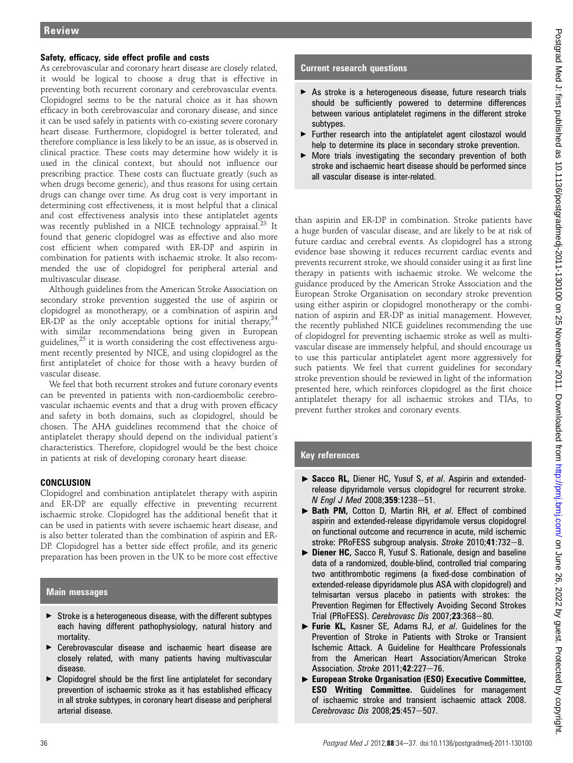## Safety, efficacy, side effect profile and costs

As cerebrovascular and coronary heart disease are closely related, it would be logical to choose a drug that is effective in preventing both recurrent coronary and cerebrovascular events. Clopidogrel seems to be the natural choice as it has shown efficacy in both cerebrovascular and coronary disease, and since it can be used safely in patients with co-existing severe coronary heart disease. Furthermore, clopidogrel is better tolerated, and therefore compliance is less likely to be an issue, as is observed in clinical practice. These costs may determine how widely it is used in the clinical context, but should not influence our prescribing practice. These costs can fluctuate greatly (such as when drugs become generic), and thus reasons for using certain drugs can change over time. As drug cost is very important in determining cost effectiveness, it is most helpful that a clinical and cost effectiveness analysis into these antiplatelet agents was recently published in a NICE technology appraisal.<sup>23</sup> It found that generic clopidogrel was as effective and also more cost efficient when compared with ER-DP and aspirin in combination for patients with ischaemic stroke. It also recommended the use of clopidogrel for peripheral arterial and multivascular disease.

Although guidelines from the American Stroke Association on secondary stroke prevention suggested the use of aspirin or clopidogrel as monotherapy, or a combination of aspirin and ER-DP as the only acceptable options for initial therapy,  $24$ with similar recommendations being given in European guidelines, $25$  it is worth considering the cost effectiveness argument recently presented by NICE, and using clopidogrel as the first antiplatelet of choice for those with a heavy burden of vascular disease.

We feel that both recurrent strokes and future coronary events can be prevented in patients with non-cardioembolic cerebrovascular ischaemic events and that a drug with proven efficacy and safety in both domains, such as clopidogrel, should be chosen. The AHA guidelines recommend that the choice of antiplatelet therapy should depend on the individual patient's characteristics. Therefore, clopidogrel would be the best choice in patients at risk of developing coronary heart disease.

# **CONCLUSION**

Clopidogrel and combination antiplatelet therapy with aspirin and ER-DP are equally effective in preventing recurrent ischaemic stroke. Clopidogrel has the additional benefit that it can be used in patients with severe ischaemic heart disease, and is also better tolerated than the combination of aspirin and ER-DP. Clopidogrel has a better side effect profile, and its generic preparation has been proven in the UK to be more cost effective

# Main messages

- $\triangleright$  Stroke is a heterogeneous disease, with the different subtypes each having different pathophysiology, natural history and mortality.
- ▶ Cerebrovascular disease and ischaemic heart disease are closely related, with many patients having multivascular disease.
- $\triangleright$  Clopidogrel should be the first line antiplatelet for secondary prevention of ischaemic stroke as it has established efficacy in all stroke subtypes, in coronary heart disease and peripheral arterial disease.

# Current research questions

- As stroke is a heterogeneous disease, future research trials should be sufficiently powered to determine differences between various antiplatelet regimens in the different stroke subtypes.
- ▶ Further research into the antiplatelet agent cilostazol would help to determine its place in secondary stroke prevention.
- $\triangleright$  More trials investigating the secondary prevention of both stroke and ischaemic heart disease should be performed since all vascular disease is inter-related.

than aspirin and ER-DP in combination. Stroke patients have a huge burden of vascular disease, and are likely to be at risk of future cardiac and cerebral events. As clopidogrel has a strong evidence base showing it reduces recurrent cardiac events and prevents recurrent stroke, we should consider using it as first line therapy in patients with ischaemic stroke. We welcome the guidance produced by the American Stroke Association and the European Stroke Organisation on secondary stroke prevention using either aspirin or clopidogrel monotherapy or the combination of aspirin and ER-DP as initial management. However, the recently published NICE guidelines recommending the use of clopidogrel for preventing ischaemic stroke as well as multivascular disease are immensely helpful, and should encourage us to use this particular antiplatelet agent more aggressively for such patients. We feel that current guidelines for secondary stroke prevention should be reviewed in light of the information presented here, which reinforces clopidogrel as the first choice antiplatelet therapy for all ischaemic strokes and TIAs, to prevent further strokes and coronary events.

# Key references

- ▶ Sacco RL, Diener HC, Yusuf S, et al. Aspirin and extendedrelease dipyridamole versus clopidogrel for recurrent stroke. N Engl J Med 2008;359:1238-51.
- ▶ Bath PM, Cotton D, Martin RH, et al. Effect of combined aspirin and extended-release dipyridamole versus clopidogrel on functional outcome and recurrence in acute, mild ischemic stroke: PRoFESS subgroup analysis. Stroke  $2010;41:732-8$ .
- ▶ Diener HC, Sacco R, Yusuf S. Rationale, design and baseline data of a randomized, double-blind, controlled trial comparing two antithrombotic regimens (a fixed-dose combination of extended-release dipyridamole plus ASA with clopidogrel) and telmisartan versus placebo in patients with strokes: the Prevention Regimen for Effectively Avoiding Second Strokes Trial (PRoFESS). Cerebrovasc Dis 2007;23:368-80.
- Furie KL, Kasner SE, Adams RJ, et al. Guidelines for the Prevention of Stroke in Patients with Stroke or Transient Ischemic Attack. A Guideline for Healthcare Professionals from the American Heart Association/American Stroke Association. Stroke  $2011;42:227-76$ .
- ▶ European Stroke Organisation (ESO) Executive Committee, ESO Writing Committee. Guidelines for management of ischaemic stroke and transient ischaemic attack 2008. Cerebrovasc Dis  $2008:25:457-507$ .